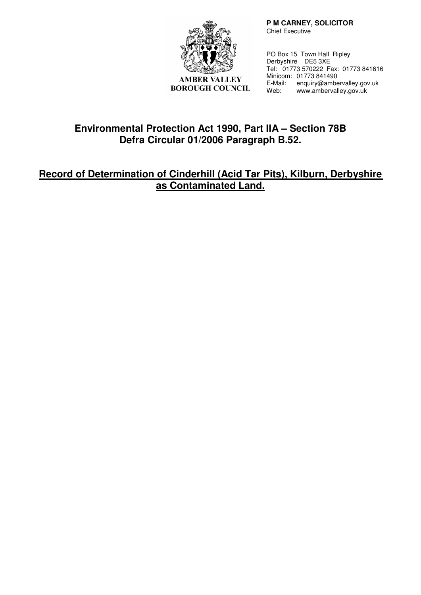

**AMBER VALLEY BOROUGH COUNCIL** 

 **P M CARNEY, SOLICITOR**  Chief Executive

PO Box 15 Town Hall Ripley Derbyshire DE5 3XE Tel: 01773 570222 Fax: 01773 841616 Minicom: 01773 841490 E-Mail: enquiry@ambervalley.gov.uk<br>Web: www.ambervalley.gov.uk Web: www.ambervalley.gov.uk

# **Environmental Protection Act 1990, Part IIA – Section 78B Defra Circular 01/2006 Paragraph B.52.**

# **Record of Determination of Cinderhill (Acid Tar Pits), Kilburn, Derbyshire as Contaminated Land.**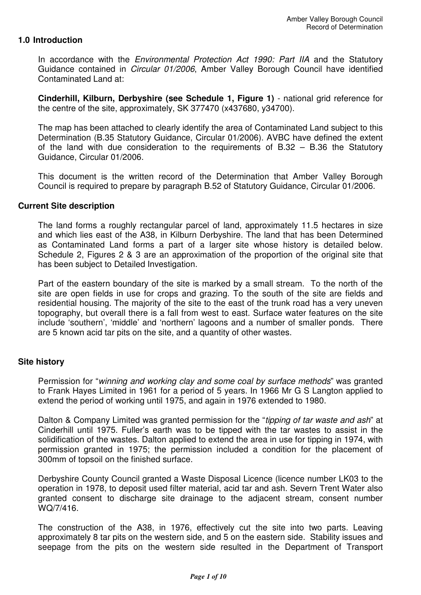### **1.0 Introduction**

In accordance with the *Environmental Protection Act 1990: Part IIA* and the Statutory Guidance contained in Circular 01/2006, Amber Valley Borough Council have identified Contaminated Land at:

**Cinderhill, Kilburn, Derbyshire (see Schedule 1, Figure 1)** - national grid reference for the centre of the site, approximately, SK 377470 (x437680, y34700).

The map has been attached to clearly identify the area of Contaminated Land subject to this Determination (B.35 Statutory Guidance, Circular 01/2006). AVBC have defined the extent of the land with due consideration to the requirements of B.32 – B.36 the Statutory Guidance, Circular 01/2006.

This document is the written record of the Determination that Amber Valley Borough Council is required to prepare by paragraph B.52 of Statutory Guidance, Circular 01/2006.

#### **Current Site description**

The land forms a roughly rectangular parcel of land, approximately 11.5 hectares in size and which lies east of the A38, in Kilburn Derbyshire. The land that has been Determined as Contaminated Land forms a part of a larger site whose history is detailed below. Schedule 2, Figures 2 & 3 are an approximation of the proportion of the original site that has been subject to Detailed Investigation.

Part of the eastern boundary of the site is marked by a small stream. To the north of the site are open fields in use for crops and grazing. To the south of the site are fields and residential housing. The majority of the site to the east of the trunk road has a very uneven topography, but overall there is a fall from west to east. Surface water features on the site include 'southern', 'middle' and 'northern' lagoons and a number of smaller ponds. There are 5 known acid tar pits on the site, and a quantity of other wastes.

### **Site history**

Permission for "winning and working clay and some coal by surface methods" was granted to Frank Hayes Limited in 1961 for a period of 5 years. In 1966 Mr G S Langton applied to extend the period of working until 1975, and again in 1976 extended to 1980.

Dalton & Company Limited was granted permission for the "tipping of tar waste and ash" at Cinderhill until 1975. Fuller's earth was to be tipped with the tar wastes to assist in the solidification of the wastes. Dalton applied to extend the area in use for tipping in 1974, with permission granted in 1975; the permission included a condition for the placement of 300mm of topsoil on the finished surface.

Derbyshire County Council granted a Waste Disposal Licence (licence number LK03 to the operation in 1978, to deposit used filter material, acid tar and ash. Severn Trent Water also granted consent to discharge site drainage to the adjacent stream, consent number WQ/7/416.

The construction of the A38, in 1976, effectively cut the site into two parts. Leaving approximately 8 tar pits on the western side, and 5 on the eastern side. Stability issues and seepage from the pits on the western side resulted in the Department of Transport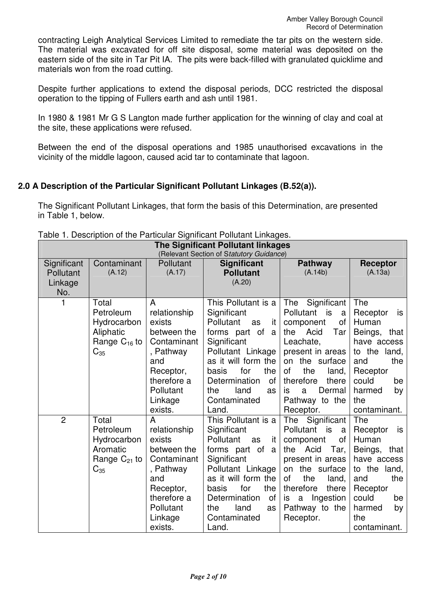contracting Leigh Analytical Services Limited to remediate the tar pits on the western side. The material was excavated for off site disposal, some material was deposited on the eastern side of the site in Tar Pit IA. The pits were back-filled with granulated quicklime and materials won from the road cutting.

Despite further applications to extend the disposal periods, DCC restricted the disposal operation to the tipping of Fullers earth and ash until 1981.

In 1980 & 1981 Mr G S Langton made further application for the winning of clay and coal at the site, these applications were refused.

Between the end of the disposal operations and 1985 unauthorised excavations in the vicinity of the middle lagoon, caused acid tar to contaminate that lagoon.

# **2.0 A Description of the Particular Significant Pollutant Linkages (B.52(a)).**

The Significant Pollutant Linkages, that form the basis of this Determination, are presented in Table 1, below.

| <b>The Significant Pollutant linkages</b><br>(Relevant Section of Statutory Guidance) |                                                                                 |                                                                                                                                              |                                                                                                                                                                                                                                          |                                                                                                                                                                                                                                               |                                                                                                                                                                      |
|---------------------------------------------------------------------------------------|---------------------------------------------------------------------------------|----------------------------------------------------------------------------------------------------------------------------------------------|------------------------------------------------------------------------------------------------------------------------------------------------------------------------------------------------------------------------------------------|-----------------------------------------------------------------------------------------------------------------------------------------------------------------------------------------------------------------------------------------------|----------------------------------------------------------------------------------------------------------------------------------------------------------------------|
| Significant<br>Pollutant<br>Linkage<br>No.                                            | Contaminant<br>(A.12)                                                           | Pollutant<br>(A.17)                                                                                                                          | <b>Significant</b><br><b>Pollutant</b><br>(A.20)                                                                                                                                                                                         | <b>Pathway</b><br>(A.14b)                                                                                                                                                                                                                     | Receptor<br>(A.13a)                                                                                                                                                  |
|                                                                                       | Total<br>Petroleum<br>Hydrocarbon<br>Aliphatic<br>Range $C_{16}$ to<br>$C_{35}$ | A<br>relationship<br>exists<br>between the<br>Contaminant<br>, Pathway<br>and<br>Receptor,<br>therefore a<br>Pollutant<br>Linkage<br>exists. | This Pollutant is a<br>Significant<br>Pollutant<br>as<br>it<br>forms part of<br>a<br>Significant<br>Pollutant Linkage<br>as it will form the<br>for<br>the<br>basis<br>Determination<br>of<br>the<br>land<br>as<br>Contaminated<br>Land. | Significant<br>The<br>Pollutant<br>is is<br>a<br>οf<br>component<br>Acid<br>the<br>Tar<br>Leachate,<br>present in areas<br>the surface<br>on<br>the<br>οf<br>land,<br>therefore<br>there<br>Dermal<br>is.<br>a<br>Pathway to the<br>Receptor. | The<br>Receptor<br>is<br>Human<br>Beings, that<br>have access<br>to the land,<br>and<br>the<br>Receptor<br>could<br>be<br>harmed<br>by<br>the<br>contaminant.        |
| $\overline{2}$                                                                        | Total<br>Petroleum<br>Hydrocarbon<br>Aromatic<br>Range $C_{21}$ to<br>$C_{35}$  | A<br>relationship<br>exists<br>between the<br>Contaminant<br>, Pathway<br>and<br>Receptor,<br>therefore a<br>Pollutant<br>Linkage<br>exists. | This Pollutant is a<br>Significant<br>Pollutant<br>it<br>as<br>forms part of<br>a<br>Significant<br>Pollutant Linkage<br>as it will form the<br>the<br>for<br>basis<br>Determination<br>of<br>the<br>land<br>as<br>Contaminated<br>Land. | Significant<br>The<br>Pollutant<br>is<br>a<br>component<br>οf<br>the Acid<br>Tar,<br>present in areas<br>the surface<br>on<br><b>of</b><br>the<br>land,<br>therefore<br>there<br>Ingestion<br>a<br>is.<br>Pathway to the<br>Receptor.         | <b>The</b><br>Receptor<br>is<br>Human<br>Beings, that<br>have access<br>to the land,<br>the<br>and<br>Receptor<br>could<br>be<br>harmed<br>by<br>the<br>contaminant. |

Table 1. Description of the Particular Significant Pollutant Linkages.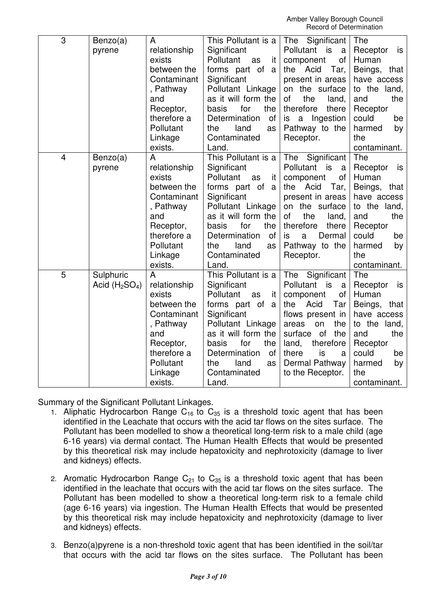| $\overline{3}$ | Benzo(a)<br>pyrene          | A<br>relationship<br>exists<br>between the<br>Contaminant<br>, Pathway<br>and<br>Receptor,<br>therefore a<br>Pollutant<br>Linkage<br>exists. | This Pollutant is a<br>Significant<br>Pollutant<br>it<br>as<br>forms part of<br>a<br>Significant<br>Pollutant Linkage<br>as it will form the<br>basis<br>for<br>the<br>Determination<br>of<br>land<br>the<br>as<br>Contaminated<br>Land. | Significant<br>The<br>Pollutant<br>is<br>a<br>of<br>component<br>Acid<br>Tar,<br>the<br>present in areas<br>the surface<br>on<br>of<br>the<br>land,<br>therefore<br>there<br>Ingestion<br>is<br>a<br>Pathway to the<br>Receptor.             | The<br>Receptor<br>is<br>Human<br>Beings, that<br>have access<br>to the land,<br>the<br>and<br>Receptor<br>could<br>be<br>harmed<br>by<br>the<br>contaminant.    |
|----------------|-----------------------------|----------------------------------------------------------------------------------------------------------------------------------------------|------------------------------------------------------------------------------------------------------------------------------------------------------------------------------------------------------------------------------------------|----------------------------------------------------------------------------------------------------------------------------------------------------------------------------------------------------------------------------------------------|------------------------------------------------------------------------------------------------------------------------------------------------------------------|
| $\overline{4}$ | Benzo(a)<br>pyrene          | A<br>relationship<br>exists<br>between the<br>Contaminant<br>, Pathway<br>and<br>Receptor,<br>therefore a<br>Pollutant<br>Linkage<br>exists. | This Pollutant is a<br>Significant<br>Pollutant<br>as<br>it<br>forms part of<br>a<br>Significant<br>Pollutant Linkage<br>as it will form the<br>for<br>basis<br>the<br>Determination<br>of<br>the<br>land<br>as<br>Contaminated<br>Land. | The<br>Significant<br>Pollutant<br>is<br>a<br>of<br>component<br>Acid<br>Tar,<br>the<br>present in areas<br>on the surface<br>of<br>the<br>land,<br>therefore<br>there<br>is<br>Dermal<br>a<br>Pathway to the<br>Receptor.                   | The<br>Receptor<br>is<br>Human<br>Beings,<br>that<br>have access<br>to the land,<br>and<br>the<br>Receptor<br>could<br>be<br>harmed<br>by<br>the<br>contaminant. |
| $\overline{5}$ | Sulphuric<br>Acid $(H2SO4)$ | A<br>relationship<br>exists<br>between the<br>Contaminant<br>, Pathway<br>and<br>Receptor,<br>therefore a<br>Pollutant<br>Linkage<br>exists. | This Pollutant is a<br>Significant<br>Pollutant<br>it<br>as<br>forms part of<br>a<br>Significant<br>Pollutant Linkage<br>as it will form the<br>basis<br>for<br>the<br>Determination<br>οf<br>the<br>land<br>as<br>Contaminated<br>Land. | Significant<br>The<br>Pollutant<br>is<br>a<br>of<br>component<br>Acid<br>the<br>Tar<br>flows present in<br>the<br>areas<br>on<br>surface<br><b>of</b><br>the<br>land,<br>therefore<br>there<br>is<br>a<br>Dermal Pathway<br>to the Receptor. | The<br>Receptor<br>is<br>Human<br>Beings, that<br>have access<br>to the<br>land,<br>and<br>the<br>Receptor<br>could<br>be<br>harmed<br>by<br>the<br>contaminant. |

Summary of the Significant Pollutant Linkages.

- 1. Aliphatic Hydrocarbon Range  $C_{16}$  to  $C_{35}$  is a threshold toxic agent that has been identified in the Leachate that occurs with the acid tar flows on the sites surface. The Pollutant has been modelled to show a theoretical long-term risk to a male child (age 6-16 years) via dermal contact. The Human Health Effects that would be presented by this theoretical risk may include hepatoxicity and nephrotoxicity (damage to liver and kidneys) effects.
- 2. Aromatic Hydrocarbon Range  $C_{21}$  to  $C_{35}$  is a threshold toxic agent that has been identified in the leachate that occurs with the acid tar flows on the sites surface. The Pollutant has been modelled to show a theoretical long-term risk to a female child (age 6-16 years) via ingestion. The Human Health Effects that would be presented by this theoretical risk may include hepatoxicity and nephrotoxicity (damage to liver and kidneys) effects.
- 3. Benzo(a)pyrene is a non-threshold toxic agent that has been identified in the soil/tar that occurs with the acid tar flows on the sites surface. The Pollutant has been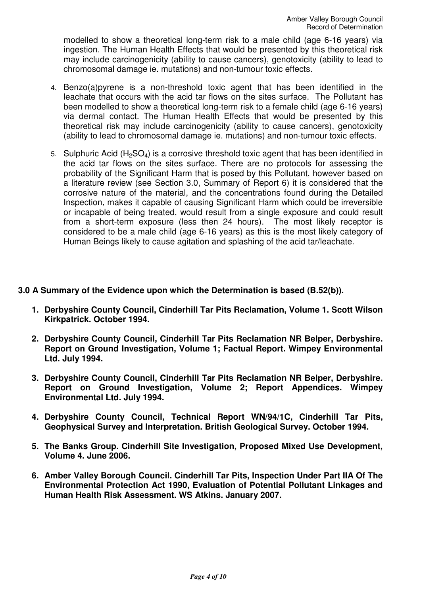modelled to show a theoretical long-term risk to a male child (age 6-16 years) via ingestion. The Human Health Effects that would be presented by this theoretical risk may include carcinogenicity (ability to cause cancers), genotoxicity (ability to lead to chromosomal damage ie. mutations) and non-tumour toxic effects.

- 4. Benzo(a)pyrene is a non-threshold toxic agent that has been identified in the leachate that occurs with the acid tar flows on the sites surface. The Pollutant has been modelled to show a theoretical long-term risk to a female child (age 6-16 years) via dermal contact. The Human Health Effects that would be presented by this theoretical risk may include carcinogenicity (ability to cause cancers), genotoxicity (ability to lead to chromosomal damage ie. mutations) and non-tumour toxic effects.
- 5. Sulphuric Acid ( $H_2SO_4$ ) is a corrosive threshold toxic agent that has been identified in the acid tar flows on the sites surface. There are no protocols for assessing the probability of the Significant Harm that is posed by this Pollutant, however based on a literature review (see Section 3.0, Summary of Report 6) it is considered that the corrosive nature of the material, and the concentrations found during the Detailed Inspection, makes it capable of causing Significant Harm which could be irreversible or incapable of being treated, would result from a single exposure and could result from a short-term exposure (less then 24 hours). The most likely receptor is considered to be a male child (age 6-16 years) as this is the most likely category of Human Beings likely to cause agitation and splashing of the acid tar/leachate.

## **3.0 A Summary of the Evidence upon which the Determination is based (B.52(b)).**

- **1. Derbyshire County Council, Cinderhill Tar Pits Reclamation, Volume 1. Scott Wilson Kirkpatrick. October 1994.**
- **2. Derbyshire County Council, Cinderhill Tar Pits Reclamation NR Belper, Derbyshire. Report on Ground Investigation, Volume 1; Factual Report. Wimpey Environmental Ltd. July 1994.**
- **3. Derbyshire County Council, Cinderhill Tar Pits Reclamation NR Belper, Derbyshire. Report on Ground Investigation, Volume 2; Report Appendices. Wimpey Environmental Ltd. July 1994.**
- **4. Derbyshire County Council, Technical Report WN/94/1C, Cinderhill Tar Pits, Geophysical Survey and Interpretation. British Geological Survey. October 1994.**
- **5. The Banks Group. Cinderhill Site Investigation, Proposed Mixed Use Development, Volume 4. June 2006.**
- **6. Amber Valley Borough Council. Cinderhill Tar Pits, Inspection Under Part IIA Of The Environmental Protection Act 1990, Evaluation of Potential Pollutant Linkages and Human Health Risk Assessment. WS Atkins. January 2007.**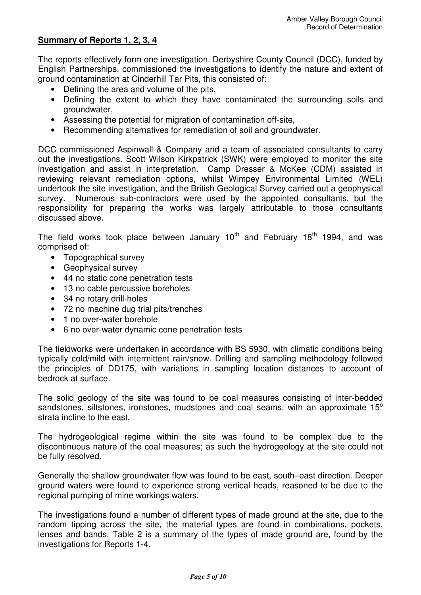# **Summary of Reports 1, 2, 3, 4**

The reports effectively form one investigation. Derbyshire County Council (DCC), funded by English Partnerships, commissioned the investigations to identify the nature and extent of ground contamination at Cinderhill Tar Pits, this consisted of:

- Defining the area and volume of the pits,
- Defining the extent to which they have contaminated the surrounding soils and groundwater,
- Assessing the potential for migration of contamination off-site,
- Recommending alternatives for remediation of soil and groundwater.

DCC commissioned Aspinwall & Company and a team of associated consultants to carry out the investigations. Scott Wilson Kirkpatrick (SWK) were employed to monitor the site investigation and assist in interpretation. Camp Dresser & McKee (CDM) assisted in reviewing relevant remediation options, whilst Wimpey Environmental Limited (WEL) undertook the site investigation, and the British Geological Survey carried out a geophysical survey. Numerous sub-contractors were used by the appointed consultants, but the responsibility for preparing the works was largely attributable to those consultants discussed above.

The field works took place between January  $10<sup>th</sup>$  and February 18<sup>th</sup> 1994, and was comprised of:

- Topographical survey
- Geophysical survey
- 44 no static cone penetration tests
- 13 no cable percussive boreholes
- 34 no rotary drill-holes
- 72 no machine dug trial pits/trenches
- 1 no over-water borehole
- 6 no over-water dynamic cone penetration tests

The fieldworks were undertaken in accordance with BS 5930, with climatic conditions being typically cold/mild with intermittent rain/snow. Drilling and sampling methodology followed the principles of DD175, with variations in sampling location distances to account of bedrock at surface.

The solid geology of the site was found to be coal measures consisting of inter-bedded sandstones, siltstones, ironstones, mudstones and coal seams, with an approximate  $15^{\circ}$ strata incline to the east.

The hydrogeological regime within the site was found to be complex due to the discontinuous nature of the coal measures; as such the hydrogeology at the site could not be fully resolved.

Generally the shallow groundwater flow was found to be east, south–east direction. Deeper ground waters were found to experience strong vertical heads, reasoned to be due to the regional pumping of mine workings waters.

The investigations found a number of different types of made ground at the site, due to the random tipping across the site, the material types are found in combinations, pockets, lenses and bands. Table 2 is a summary of the types of made ground are, found by the investigations for Reports 1-4.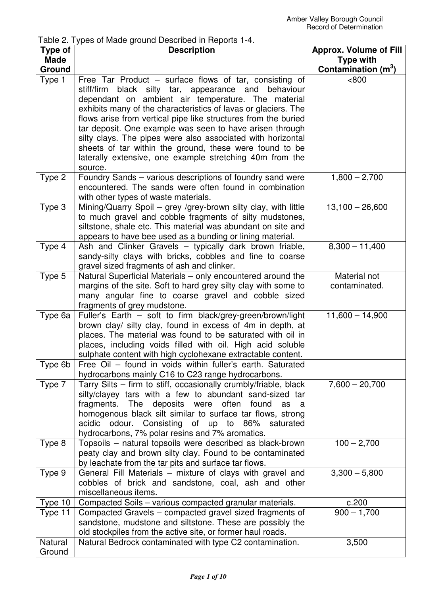Table 2. Types of Made ground Described in Reports 1-4.

| <b>Made</b><br><b>Type with</b><br>Contamination (m <sup>3</sup> )<br>Ground<br>Type 1<br>Free Tar Product – surface flows of tar, consisting of<br>< 800<br>stiff/firm black silty tar, appearance and<br>behaviour<br>dependant on ambient air temperature. The material<br>exhibits many of the characteristics of lavas or glaciers. The<br>flows arise from vertical pipe like structures from the buried<br>tar deposit. One example was seen to have arisen through<br>silty clays. The pipes were also associated with horizontal<br>sheets of tar within the ground, these were found to be<br>laterally extensive, one example stretching 40m from the<br>source.<br>Type 2<br>Foundry Sands - various descriptions of foundry sand were<br>$1,800 - 2,700$<br>encountered. The sands were often found in combination<br>with other types of waste materials.<br>Type 3<br>Mining/Quarry Spoil - grey /grey-brown silty clay, with little<br>$13,100 - 26,600$<br>to much gravel and cobble fragments of silty mudstones,<br>siltstone, shale etc. This material was abundant on site and<br>appears to have bee used as a bunding or lining material.<br>Type 4<br>$8,300 - 11,400$<br>Ash and Clinker Gravels - typically dark brown friable,<br>sandy-silty clays with bricks, cobbles and fine to coarse<br>gravel sized fragments of ash and clinker. |
|----------------------------------------------------------------------------------------------------------------------------------------------------------------------------------------------------------------------------------------------------------------------------------------------------------------------------------------------------------------------------------------------------------------------------------------------------------------------------------------------------------------------------------------------------------------------------------------------------------------------------------------------------------------------------------------------------------------------------------------------------------------------------------------------------------------------------------------------------------------------------------------------------------------------------------------------------------------------------------------------------------------------------------------------------------------------------------------------------------------------------------------------------------------------------------------------------------------------------------------------------------------------------------------------------------------------------------------------------------------------|
|                                                                                                                                                                                                                                                                                                                                                                                                                                                                                                                                                                                                                                                                                                                                                                                                                                                                                                                                                                                                                                                                                                                                                                                                                                                                                                                                                                      |
|                                                                                                                                                                                                                                                                                                                                                                                                                                                                                                                                                                                                                                                                                                                                                                                                                                                                                                                                                                                                                                                                                                                                                                                                                                                                                                                                                                      |
|                                                                                                                                                                                                                                                                                                                                                                                                                                                                                                                                                                                                                                                                                                                                                                                                                                                                                                                                                                                                                                                                                                                                                                                                                                                                                                                                                                      |
|                                                                                                                                                                                                                                                                                                                                                                                                                                                                                                                                                                                                                                                                                                                                                                                                                                                                                                                                                                                                                                                                                                                                                                                                                                                                                                                                                                      |
|                                                                                                                                                                                                                                                                                                                                                                                                                                                                                                                                                                                                                                                                                                                                                                                                                                                                                                                                                                                                                                                                                                                                                                                                                                                                                                                                                                      |
|                                                                                                                                                                                                                                                                                                                                                                                                                                                                                                                                                                                                                                                                                                                                                                                                                                                                                                                                                                                                                                                                                                                                                                                                                                                                                                                                                                      |
|                                                                                                                                                                                                                                                                                                                                                                                                                                                                                                                                                                                                                                                                                                                                                                                                                                                                                                                                                                                                                                                                                                                                                                                                                                                                                                                                                                      |
|                                                                                                                                                                                                                                                                                                                                                                                                                                                                                                                                                                                                                                                                                                                                                                                                                                                                                                                                                                                                                                                                                                                                                                                                                                                                                                                                                                      |
|                                                                                                                                                                                                                                                                                                                                                                                                                                                                                                                                                                                                                                                                                                                                                                                                                                                                                                                                                                                                                                                                                                                                                                                                                                                                                                                                                                      |
|                                                                                                                                                                                                                                                                                                                                                                                                                                                                                                                                                                                                                                                                                                                                                                                                                                                                                                                                                                                                                                                                                                                                                                                                                                                                                                                                                                      |
|                                                                                                                                                                                                                                                                                                                                                                                                                                                                                                                                                                                                                                                                                                                                                                                                                                                                                                                                                                                                                                                                                                                                                                                                                                                                                                                                                                      |
|                                                                                                                                                                                                                                                                                                                                                                                                                                                                                                                                                                                                                                                                                                                                                                                                                                                                                                                                                                                                                                                                                                                                                                                                                                                                                                                                                                      |
|                                                                                                                                                                                                                                                                                                                                                                                                                                                                                                                                                                                                                                                                                                                                                                                                                                                                                                                                                                                                                                                                                                                                                                                                                                                                                                                                                                      |
|                                                                                                                                                                                                                                                                                                                                                                                                                                                                                                                                                                                                                                                                                                                                                                                                                                                                                                                                                                                                                                                                                                                                                                                                                                                                                                                                                                      |
|                                                                                                                                                                                                                                                                                                                                                                                                                                                                                                                                                                                                                                                                                                                                                                                                                                                                                                                                                                                                                                                                                                                                                                                                                                                                                                                                                                      |
|                                                                                                                                                                                                                                                                                                                                                                                                                                                                                                                                                                                                                                                                                                                                                                                                                                                                                                                                                                                                                                                                                                                                                                                                                                                                                                                                                                      |
|                                                                                                                                                                                                                                                                                                                                                                                                                                                                                                                                                                                                                                                                                                                                                                                                                                                                                                                                                                                                                                                                                                                                                                                                                                                                                                                                                                      |
|                                                                                                                                                                                                                                                                                                                                                                                                                                                                                                                                                                                                                                                                                                                                                                                                                                                                                                                                                                                                                                                                                                                                                                                                                                                                                                                                                                      |
|                                                                                                                                                                                                                                                                                                                                                                                                                                                                                                                                                                                                                                                                                                                                                                                                                                                                                                                                                                                                                                                                                                                                                                                                                                                                                                                                                                      |
|                                                                                                                                                                                                                                                                                                                                                                                                                                                                                                                                                                                                                                                                                                                                                                                                                                                                                                                                                                                                                                                                                                                                                                                                                                                                                                                                                                      |
| Type 5<br>Material not<br>Natural Superficial Materials – only encountered around the                                                                                                                                                                                                                                                                                                                                                                                                                                                                                                                                                                                                                                                                                                                                                                                                                                                                                                                                                                                                                                                                                                                                                                                                                                                                                |
| margins of the site. Soft to hard grey silty clay with some to<br>contaminated.                                                                                                                                                                                                                                                                                                                                                                                                                                                                                                                                                                                                                                                                                                                                                                                                                                                                                                                                                                                                                                                                                                                                                                                                                                                                                      |
| many angular fine to coarse gravel and cobble sized                                                                                                                                                                                                                                                                                                                                                                                                                                                                                                                                                                                                                                                                                                                                                                                                                                                                                                                                                                                                                                                                                                                                                                                                                                                                                                                  |
| fragments of grey mudstone.                                                                                                                                                                                                                                                                                                                                                                                                                                                                                                                                                                                                                                                                                                                                                                                                                                                                                                                                                                                                                                                                                                                                                                                                                                                                                                                                          |
| Type 6a<br>Fuller's Earth - soft to firm black/grey-green/brown/light<br>$11,600 - 14,900$                                                                                                                                                                                                                                                                                                                                                                                                                                                                                                                                                                                                                                                                                                                                                                                                                                                                                                                                                                                                                                                                                                                                                                                                                                                                           |
| brown clay/ silty clay, found in excess of 4m in depth, at                                                                                                                                                                                                                                                                                                                                                                                                                                                                                                                                                                                                                                                                                                                                                                                                                                                                                                                                                                                                                                                                                                                                                                                                                                                                                                           |
| places. The material was found to be saturated with oil in                                                                                                                                                                                                                                                                                                                                                                                                                                                                                                                                                                                                                                                                                                                                                                                                                                                                                                                                                                                                                                                                                                                                                                                                                                                                                                           |
| places, including voids filled with oil. High acid soluble                                                                                                                                                                                                                                                                                                                                                                                                                                                                                                                                                                                                                                                                                                                                                                                                                                                                                                                                                                                                                                                                                                                                                                                                                                                                                                           |
| sulphate content with high cyclohexane extractable content.                                                                                                                                                                                                                                                                                                                                                                                                                                                                                                                                                                                                                                                                                                                                                                                                                                                                                                                                                                                                                                                                                                                                                                                                                                                                                                          |
| Free Oil - found in voids within fuller's earth. Saturated<br>Type 6b                                                                                                                                                                                                                                                                                                                                                                                                                                                                                                                                                                                                                                                                                                                                                                                                                                                                                                                                                                                                                                                                                                                                                                                                                                                                                                |
| hydrocarbons mainly C16 to C23 range hydrocarbons.                                                                                                                                                                                                                                                                                                                                                                                                                                                                                                                                                                                                                                                                                                                                                                                                                                                                                                                                                                                                                                                                                                                                                                                                                                                                                                                   |
| Tarry Silts - firm to stiff, occasionally crumbly/friable, black<br>$7,600 - 20,700$<br>Type 7                                                                                                                                                                                                                                                                                                                                                                                                                                                                                                                                                                                                                                                                                                                                                                                                                                                                                                                                                                                                                                                                                                                                                                                                                                                                       |
| silty/clayey tars with a few to abundant sand-sized tar<br>The<br>deposits were<br>often<br>found                                                                                                                                                                                                                                                                                                                                                                                                                                                                                                                                                                                                                                                                                                                                                                                                                                                                                                                                                                                                                                                                                                                                                                                                                                                                    |
| fragments.<br>as<br>a<br>homogenous black silt similar to surface tar flows, strong                                                                                                                                                                                                                                                                                                                                                                                                                                                                                                                                                                                                                                                                                                                                                                                                                                                                                                                                                                                                                                                                                                                                                                                                                                                                                  |
| acidic odour. Consisting of up to 86% saturated                                                                                                                                                                                                                                                                                                                                                                                                                                                                                                                                                                                                                                                                                                                                                                                                                                                                                                                                                                                                                                                                                                                                                                                                                                                                                                                      |
| hydrocarbons, 7% polar resins and 7% aromatics.                                                                                                                                                                                                                                                                                                                                                                                                                                                                                                                                                                                                                                                                                                                                                                                                                                                                                                                                                                                                                                                                                                                                                                                                                                                                                                                      |
| $100 - 2,700$<br>Type 8<br>Topsoils – natural topsoils were described as black-brown                                                                                                                                                                                                                                                                                                                                                                                                                                                                                                                                                                                                                                                                                                                                                                                                                                                                                                                                                                                                                                                                                                                                                                                                                                                                                 |
| peaty clay and brown silty clay. Found to be contaminated                                                                                                                                                                                                                                                                                                                                                                                                                                                                                                                                                                                                                                                                                                                                                                                                                                                                                                                                                                                                                                                                                                                                                                                                                                                                                                            |
| by leachate from the tar pits and surface tar flows.                                                                                                                                                                                                                                                                                                                                                                                                                                                                                                                                                                                                                                                                                                                                                                                                                                                                                                                                                                                                                                                                                                                                                                                                                                                                                                                 |
| General Fill Materials – mixture of clays with gravel and<br>$3,300 - 5,800$<br>Type 9                                                                                                                                                                                                                                                                                                                                                                                                                                                                                                                                                                                                                                                                                                                                                                                                                                                                                                                                                                                                                                                                                                                                                                                                                                                                               |
| cobbles of brick and sandstone, coal, ash and other                                                                                                                                                                                                                                                                                                                                                                                                                                                                                                                                                                                                                                                                                                                                                                                                                                                                                                                                                                                                                                                                                                                                                                                                                                                                                                                  |
| miscellaneous items.                                                                                                                                                                                                                                                                                                                                                                                                                                                                                                                                                                                                                                                                                                                                                                                                                                                                                                                                                                                                                                                                                                                                                                                                                                                                                                                                                 |
| Type 10<br>Compacted Soils – various compacted granular materials.<br>c.200                                                                                                                                                                                                                                                                                                                                                                                                                                                                                                                                                                                                                                                                                                                                                                                                                                                                                                                                                                                                                                                                                                                                                                                                                                                                                          |
| $900 - 1,700$<br>Compacted Gravels - compacted gravel sized fragments of<br>Type 11                                                                                                                                                                                                                                                                                                                                                                                                                                                                                                                                                                                                                                                                                                                                                                                                                                                                                                                                                                                                                                                                                                                                                                                                                                                                                  |
| sandstone, mudstone and siltstone. These are possibly the                                                                                                                                                                                                                                                                                                                                                                                                                                                                                                                                                                                                                                                                                                                                                                                                                                                                                                                                                                                                                                                                                                                                                                                                                                                                                                            |
| old stockpiles from the active site, or former haul roads.<br>Natural                                                                                                                                                                                                                                                                                                                                                                                                                                                                                                                                                                                                                                                                                                                                                                                                                                                                                                                                                                                                                                                                                                                                                                                                                                                                                                |
| Natural Bedrock contaminated with type C2 contamination.<br>3,500<br>Ground                                                                                                                                                                                                                                                                                                                                                                                                                                                                                                                                                                                                                                                                                                                                                                                                                                                                                                                                                                                                                                                                                                                                                                                                                                                                                          |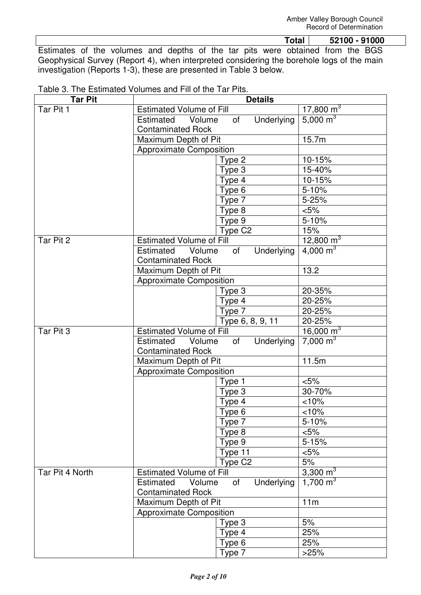**Total 52100 - 91000**  Estimates of the volumes and depths of the tar pits were obtained from the BGS Geophysical Survey (Report 4), when interpreted considering the borehole logs of the main investigation (Reports 1-3), these are presented in Table 3 below.

| <b>Tar Pit</b> | <b>Details</b>                                                      |                     |                         |
|----------------|---------------------------------------------------------------------|---------------------|-------------------------|
| Tar Pit 1      | <b>Estimated Volume of Fill</b>                                     |                     | 17,800 $\overline{m}^3$ |
|                | Volume<br>Estimated                                                 | Underlying<br>of    | $5,000 \text{ m}^3$     |
|                | <b>Contaminated Rock</b>                                            |                     |                         |
|                | Maximum Depth of Pit                                                |                     | 15.7m                   |
|                | <b>Approximate Composition</b>                                      |                     |                         |
|                |                                                                     | Type 2              | 10-15%                  |
|                |                                                                     | Type 3              | 15-40%                  |
|                |                                                                     | Type 4              | 10-15%                  |
|                |                                                                     | Type 6              | 5-10%                   |
|                |                                                                     | Type 7              | 5-25%                   |
|                |                                                                     | Type 8              | $< 5\%$                 |
|                |                                                                     | Type 9              | 5-10%                   |
|                | Type C2                                                             |                     | 15%                     |
| Tar Pit 2      | <b>Estimated Volume of Fill</b>                                     |                     | 12,800 m <sup>3</sup>   |
|                | Estimated<br>Volume                                                 | Underlying<br>of    | $4,000 \text{ m}^3$     |
|                | <b>Contaminated Rock</b>                                            |                     |                         |
|                | Maximum Depth of Pit                                                |                     | 13.2                    |
|                | <b>Approximate Composition</b>                                      |                     |                         |
|                |                                                                     | Type 3              | 20-35%                  |
|                |                                                                     | Type 4              | 20-25%                  |
|                |                                                                     | Type 7              | 20-25%                  |
|                |                                                                     | Type 6, 8, 9, 11    | 20-25%                  |
| Tar Pit 3      | <b>Estimated Volume of Fill</b>                                     |                     | $16,000 \text{ m}^3$    |
|                | Underlying<br>Estimated<br>of<br>Volume                             |                     | $7,000 \text{ m}^3$     |
|                | <b>Contaminated Rock</b>                                            |                     |                         |
|                | Maximum Depth of Pit                                                |                     | 11.5m                   |
|                | <b>Approximate Composition</b>                                      |                     |                         |
|                |                                                                     | Type 1              | $\overline{5\%}$        |
|                |                                                                     | Type 3              | 30-70%                  |
|                |                                                                     | Type 4              | < 10%                   |
|                |                                                                     | Type 6              | < 10%                   |
|                |                                                                     | Type 7              | $5 - 10%$               |
|                |                                                                     | Type 8              | $< 5\%$                 |
|                |                                                                     | Type 9              | $5 - 15%$               |
|                |                                                                     | Type 11             | $< 5\%$                 |
|                |                                                                     | Type C <sub>2</sub> | 5%                      |
|                | Tar Pit 4 North<br><b>Estimated Volume of Fill</b>                  |                     | 3,300 $m3$              |
|                | Underlying<br>of<br>Estimated<br>Volume<br><b>Contaminated Rock</b> |                     | 1,700 $m3$              |
|                | Maximum Depth of Pit                                                |                     | 11m                     |
|                | <b>Approximate Composition</b>                                      |                     |                         |
|                | Type 3                                                              |                     | 5%                      |
|                |                                                                     | Type 4              | 25%                     |
|                |                                                                     | Type 6              | 25%                     |
|                |                                                                     | Type 7              | >25%                    |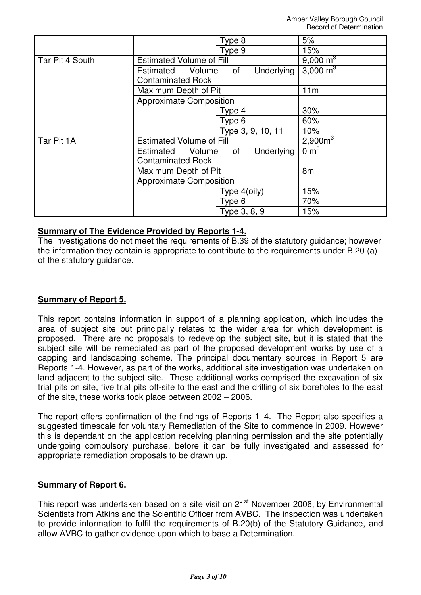|                 |                                         | Type 8            | 5%                  |
|-----------------|-----------------------------------------|-------------------|---------------------|
|                 |                                         | Type 9            | 15%                 |
| Tar Pit 4 South | <b>Estimated Volume of Fill</b>         |                   | 9,000 $m3$          |
|                 | Underlying<br>Volume<br>of<br>Estimated |                   | 3,000 $m^3$         |
|                 | <b>Contaminated Rock</b>                |                   |                     |
|                 | Maximum Depth of Pit                    | 11m               |                     |
|                 | <b>Approximate Composition</b>          |                   |                     |
|                 |                                         | Type 4            | 30%                 |
|                 |                                         | Type 6            | 60%                 |
|                 |                                         | Type 3, 9, 10, 11 | 10%                 |
| Tar Pit 1A      | <b>Estimated Volume of Fill</b>         |                   | 2,900m <sup>3</sup> |
|                 | Estimated<br>Volume                     | Underlying<br>0f  | $0 \text{ m}^3$     |
|                 | <b>Contaminated Rock</b>                |                   |                     |
|                 | Maximum Depth of Pit                    |                   | 8 <sub>m</sub>      |
|                 | <b>Approximate Composition</b>          |                   |                     |
|                 |                                         | Type 4(oily)      | 15%                 |
|                 |                                         | Type 6            | 70%                 |
|                 |                                         | Type 3, 8, 9      | 15%                 |

### **Summary of The Evidence Provided by Reports 1-4.**

The investigations do not meet the requirements of B.39 of the statutory guidance; however the information they contain is appropriate to contribute to the requirements under B.20 (a) of the statutory guidance.

# **Summary of Report 5.**

This report contains information in support of a planning application, which includes the area of subject site but principally relates to the wider area for which development is proposed. There are no proposals to redevelop the subject site, but it is stated that the subject site will be remediated as part of the proposed development works by use of a capping and landscaping scheme. The principal documentary sources in Report 5 are Reports 1-4. However, as part of the works, additional site investigation was undertaken on land adjacent to the subject site. These additional works comprised the excavation of six trial pits on site, five trial pits off-site to the east and the drilling of six boreholes to the east of the site, these works took place between 2002 – 2006.

The report offers confirmation of the findings of Reports 1–4. The Report also specifies a suggested timescale for voluntary Remediation of the Site to commence in 2009. However this is dependant on the application receiving planning permission and the site potentially undergoing compulsory purchase, before it can be fully investigated and assessed for appropriate remediation proposals to be drawn up.

### **Summary of Report 6.**

This report was undertaken based on a site visit on 21<sup>st</sup> November 2006, by Environmental Scientists from Atkins and the Scientific Officer from AVBC. The inspection was undertaken to provide information to fulfil the requirements of B.20(b) of the Statutory Guidance, and allow AVBC to gather evidence upon which to base a Determination.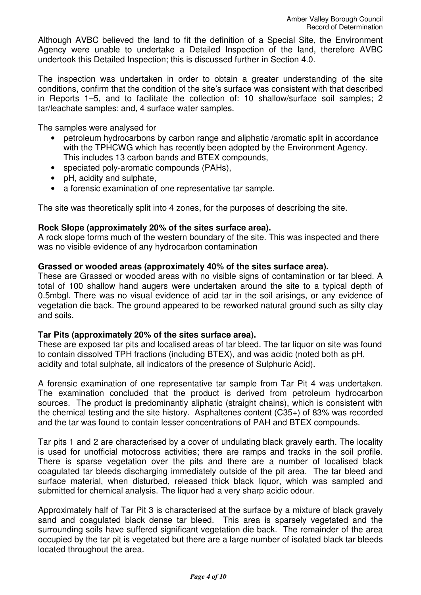Although AVBC believed the land to fit the definition of a Special Site, the Environment Agency were unable to undertake a Detailed Inspection of the land, therefore AVBC undertook this Detailed Inspection; this is discussed further in Section 4.0.

The inspection was undertaken in order to obtain a greater understanding of the site conditions, confirm that the condition of the site's surface was consistent with that described in Reports 1–5, and to facilitate the collection of: 10 shallow/surface soil samples; 2 tar/leachate samples; and, 4 surface water samples.

The samples were analysed for

- petroleum hydrocarbons by carbon range and aliphatic /aromatic split in accordance with the TPHCWG which has recently been adopted by the Environment Agency. This includes 13 carbon bands and BTEX compounds,
- speciated poly-aromatic compounds (PAHs).
- pH, acidity and sulphate,
- a forensic examination of one representative tar sample.

The site was theoretically split into 4 zones, for the purposes of describing the site.

### **Rock Slope (approximately 20% of the sites surface area).**

A rock slope forms much of the western boundary of the site. This was inspected and there was no visible evidence of any hydrocarbon contamination

### **Grassed or wooded areas (approximately 40% of the sites surface area).**

These are Grassed or wooded areas with no visible signs of contamination or tar bleed. A total of 100 shallow hand augers were undertaken around the site to a typical depth of 0.5mbgl. There was no visual evidence of acid tar in the soil arisings, or any evidence of vegetation die back. The ground appeared to be reworked natural ground such as silty clay and soils.

### **Tar Pits (approximately 20% of the sites surface area).**

These are exposed tar pits and localised areas of tar bleed. The tar liquor on site was found to contain dissolved TPH fractions (including BTEX), and was acidic (noted both as pH, acidity and total sulphate, all indicators of the presence of Sulphuric Acid).

A forensic examination of one representative tar sample from Tar Pit 4 was undertaken. The examination concluded that the product is derived from petroleum hydrocarbon sources. The product is predominantly aliphatic (straight chains), which is consistent with the chemical testing and the site history. Asphaltenes content (C35+) of 83% was recorded and the tar was found to contain lesser concentrations of PAH and BTEX compounds.

Tar pits 1 and 2 are characterised by a cover of undulating black gravely earth. The locality is used for unofficial motocross activities; there are ramps and tracks in the soil profile. There is sparse vegetation over the pits and there are a number of localised black coagulated tar bleeds discharging immediately outside of the pit area. The tar bleed and surface material, when disturbed, released thick black liquor, which was sampled and submitted for chemical analysis. The liquor had a very sharp acidic odour.

Approximately half of Tar Pit 3 is characterised at the surface by a mixture of black gravely sand and coagulated black dense tar bleed. This area is sparsely vegetated and the surrounding soils have suffered significant vegetation die back. The remainder of the area occupied by the tar pit is vegetated but there are a large number of isolated black tar bleeds located throughout the area.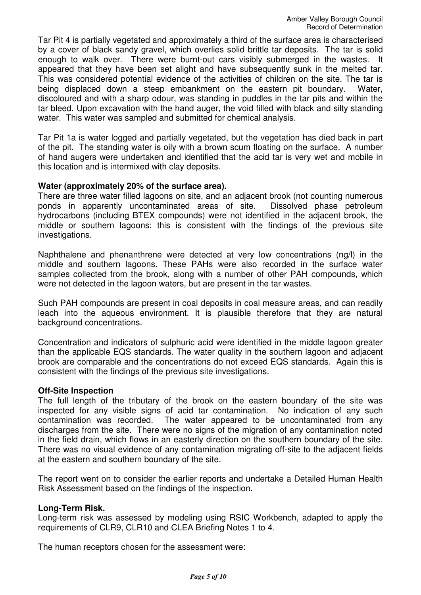Tar Pit 4 is partially vegetated and approximately a third of the surface area is characterised by a cover of black sandy gravel, which overlies solid brittle tar deposits. The tar is solid enough to walk over. There were burnt-out cars visibly submerged in the wastes. It appeared that they have been set alight and have subsequently sunk in the melted tar. This was considered potential evidence of the activities of children on the site. The tar is being displaced down a steep embankment on the eastern pit boundary. Water, discoloured and with a sharp odour, was standing in puddles in the tar pits and within the tar bleed. Upon excavation with the hand auger, the void filled with black and silty standing water. This water was sampled and submitted for chemical analysis.

Tar Pit 1a is water logged and partially vegetated, but the vegetation has died back in part of the pit. The standing water is oily with a brown scum floating on the surface. A number of hand augers were undertaken and identified that the acid tar is very wet and mobile in this location and is intermixed with clay deposits.

### **Water (approximately 20% of the surface area).**

There are three water filled lagoons on site, and an adjacent brook (not counting numerous ponds in apparently uncontaminated areas of site. Dissolved phase petroleum hydrocarbons (including BTEX compounds) were not identified in the adjacent brook, the middle or southern lagoons; this is consistent with the findings of the previous site investigations.

Naphthalene and phenanthrene were detected at very low concentrations (ng/l) in the middle and southern lagoons. These PAHs were also recorded in the surface water samples collected from the brook, along with a number of other PAH compounds, which were not detected in the lagoon waters, but are present in the tar wastes.

Such PAH compounds are present in coal deposits in coal measure areas, and can readily leach into the aqueous environment. It is plausible therefore that they are natural background concentrations.

Concentration and indicators of sulphuric acid were identified in the middle lagoon greater than the applicable EQS standards. The water quality in the southern lagoon and adjacent brook are comparable and the concentrations do not exceed EQS standards. Again this is consistent with the findings of the previous site investigations.

#### **Off-Site Inspection**

The full length of the tributary of the brook on the eastern boundary of the site was inspected for any visible signs of acid tar contamination. No indication of any such contamination was recorded. The water appeared to be uncontaminated from any discharges from the site. There were no signs of the migration of any contamination noted in the field drain, which flows in an easterly direction on the southern boundary of the site. There was no visual evidence of any contamination migrating off-site to the adjacent fields at the eastern and southern boundary of the site.

The report went on to consider the earlier reports and undertake a Detailed Human Health Risk Assessment based on the findings of the inspection.

#### **Long-Term Risk.**

Long-term risk was assessed by modeling using RSIC Workbench, adapted to apply the requirements of CLR9, CLR10 and CLEA Briefing Notes 1 to 4.

The human receptors chosen for the assessment were: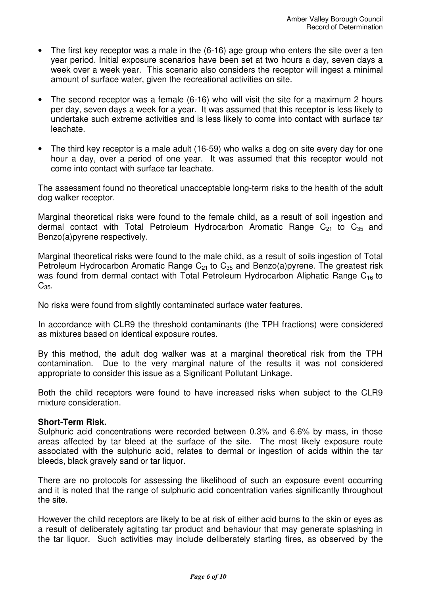- The first key receptor was a male in the (6-16) age group who enters the site over a ten year period. Initial exposure scenarios have been set at two hours a day, seven days a week over a week year. This scenario also considers the receptor will ingest a minimal amount of surface water, given the recreational activities on site.
- The second receptor was a female (6-16) who will visit the site for a maximum 2 hours per day, seven days a week for a year. It was assumed that this receptor is less likely to undertake such extreme activities and is less likely to come into contact with surface tar leachate.
- The third key receptor is a male adult (16-59) who walks a dog on site every day for one hour a day, over a period of one year. It was assumed that this receptor would not come into contact with surface tar leachate.

The assessment found no theoretical unacceptable long-term risks to the health of the adult dog walker receptor.

Marginal theoretical risks were found to the female child, as a result of soil ingestion and dermal contact with Total Petroleum Hydrocarbon Aromatic Range  $C_{21}$  to  $C_{35}$  and Benzo(a)pyrene respectively.

Marginal theoretical risks were found to the male child, as a result of soils ingestion of Total Petroleum Hydrocarbon Aromatic Range  $C_{21}$  to  $C_{35}$  and Benzo(a)pyrene. The greatest risk was found from dermal contact with Total Petroleum Hydrocarbon Aliphatic Range  $C_{16}$  to  $C<sub>35</sub>$ .

No risks were found from slightly contaminated surface water features.

In accordance with CLR9 the threshold contaminants (the TPH fractions) were considered as mixtures based on identical exposure routes.

By this method, the adult dog walker was at a marginal theoretical risk from the TPH contamination. Due to the very marginal nature of the results it was not considered appropriate to consider this issue as a Significant Pollutant Linkage.

Both the child receptors were found to have increased risks when subject to the CLR9 mixture consideration.

### **Short-Term Risk.**

Sulphuric acid concentrations were recorded between 0.3% and 6.6% by mass, in those areas affected by tar bleed at the surface of the site. The most likely exposure route associated with the sulphuric acid, relates to dermal or ingestion of acids within the tar bleeds, black gravely sand or tar liquor.

There are no protocols for assessing the likelihood of such an exposure event occurring and it is noted that the range of sulphuric acid concentration varies significantly throughout the site.

However the child receptors are likely to be at risk of either acid burns to the skin or eyes as a result of deliberately agitating tar product and behaviour that may generate splashing in the tar liquor. Such activities may include deliberately starting fires, as observed by the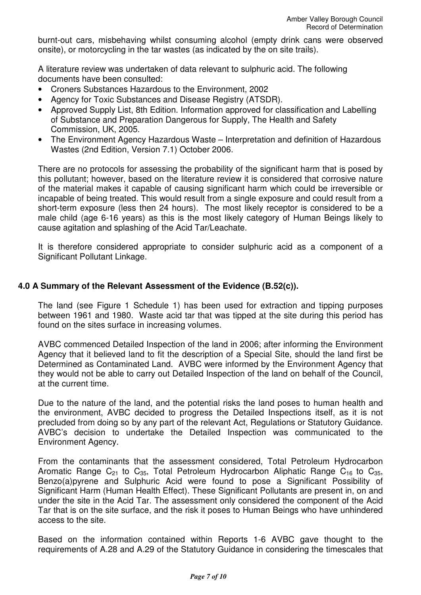burnt-out cars, misbehaving whilst consuming alcohol (empty drink cans were observed onsite), or motorcycling in the tar wastes (as indicated by the on site trails).

A literature review was undertaken of data relevant to sulphuric acid. The following documents have been consulted:

- Croners Substances Hazardous to the Environment, 2002
- Agency for Toxic Substances and Disease Registry (ATSDR).
- Approved Supply List, 8th Edition. Information approved for classification and Labelling of Substance and Preparation Dangerous for Supply, The Health and Safety Commission, UK, 2005.
- The Environment Agency Hazardous Waste Interpretation and definition of Hazardous Wastes (2nd Edition, Version 7.1) October 2006.

There are no protocols for assessing the probability of the significant harm that is posed by this pollutant; however, based on the literature review it is considered that corrosive nature of the material makes it capable of causing significant harm which could be irreversible or incapable of being treated. This would result from a single exposure and could result from a short-term exposure (less then 24 hours). The most likely receptor is considered to be a male child (age 6-16 years) as this is the most likely category of Human Beings likely to cause agitation and splashing of the Acid Tar/Leachate.

It is therefore considered appropriate to consider sulphuric acid as a component of a Significant Pollutant Linkage.

## **4.0 A Summary of the Relevant Assessment of the Evidence (B.52(c)).**

The land (see Figure 1 Schedule 1) has been used for extraction and tipping purposes between 1961 and 1980. Waste acid tar that was tipped at the site during this period has found on the sites surface in increasing volumes.

AVBC commenced Detailed Inspection of the land in 2006; after informing the Environment Agency that it believed land to fit the description of a Special Site, should the land first be Determined as Contaminated Land. AVBC were informed by the Environment Agency that they would not be able to carry out Detailed Inspection of the land on behalf of the Council, at the current time.

Due to the nature of the land, and the potential risks the land poses to human health and the environment, AVBC decided to progress the Detailed Inspections itself, as it is not precluded from doing so by any part of the relevant Act, Regulations or Statutory Guidance. AVBC's decision to undertake the Detailed Inspection was communicated to the Environment Agency.

From the contaminants that the assessment considered, Total Petroleum Hydrocarbon Aromatic Range  $C_{21}$  to  $C_{35}$ , Total Petroleum Hydrocarbon Aliphatic Range  $C_{16}$  to  $C_{35}$ , Benzo(a)pyrene and Sulphuric Acid were found to pose a Significant Possibility of Significant Harm (Human Health Effect). These Significant Pollutants are present in, on and under the site in the Acid Tar. The assessment only considered the component of the Acid Tar that is on the site surface, and the risk it poses to Human Beings who have unhindered access to the site.

Based on the information contained within Reports 1-6 AVBC gave thought to the requirements of A.28 and A.29 of the Statutory Guidance in considering the timescales that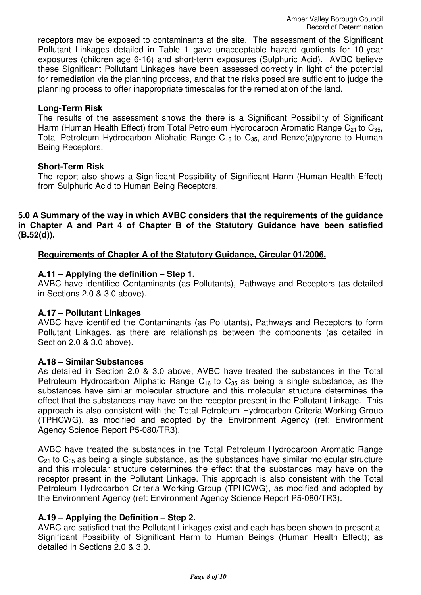receptors may be exposed to contaminants at the site. The assessment of the Significant Pollutant Linkages detailed in Table 1 gave unacceptable hazard quotients for 10-year exposures (children age 6-16) and short-term exposures (Sulphuric Acid). AVBC believe these Significant Pollutant Linkages have been assessed correctly in light of the potential for remediation via the planning process, and that the risks posed are sufficient to judge the planning process to offer inappropriate timescales for the remediation of the land.

### **Long-Term Risk**

The results of the assessment shows the there is a Significant Possibility of Significant Harm (Human Health Effect) from Total Petroleum Hydrocarbon Aromatic Range  $C_{21}$  to  $C_{35}$ , Total Petroleum Hydrocarbon Aliphatic Range  $C_{16}$  to  $C_{35}$ , and Benzo(a)pyrene to Human Being Receptors.

### **Short-Term Risk**

The report also shows a Significant Possibility of Significant Harm (Human Health Effect) from Sulphuric Acid to Human Being Receptors.

**5.0 A Summary of the way in which AVBC considers that the requirements of the guidance in Chapter A and Part 4 of Chapter B of the Statutory Guidance have been satisfied (B.52(d)).**

## **Requirements of Chapter A of the Statutory Guidance, Circular 01/2006.**

## **A.11 – Applying the definition – Step 1.**

AVBC have identified Contaminants (as Pollutants), Pathways and Receptors (as detailed in Sections 2.0 & 3.0 above).

### **A.17 – Pollutant Linkages**

AVBC have identified the Contaminants (as Pollutants), Pathways and Receptors to form Pollutant Linkages, as there are relationships between the components (as detailed in Section 2.0 & 3.0 above).

### **A.18 – Similar Substances**

As detailed in Section 2.0 & 3.0 above, AVBC have treated the substances in the Total Petroleum Hydrocarbon Aliphatic Range  $C_{16}$  to  $C_{35}$  as being a single substance, as the substances have similar molecular structure and this molecular structure determines the effect that the substances may have on the receptor present in the Pollutant Linkage. This approach is also consistent with the Total Petroleum Hydrocarbon Criteria Working Group (TPHCWG), as modified and adopted by the Environment Agency (ref: Environment Agency Science Report P5-080/TR3).

AVBC have treated the substances in the Total Petroleum Hydrocarbon Aromatic Range  $C_{21}$  to  $C_{35}$  as being a single substance, as the substances have similar molecular structure and this molecular structure determines the effect that the substances may have on the receptor present in the Pollutant Linkage. This approach is also consistent with the Total Petroleum Hydrocarbon Criteria Working Group (TPHCWG), as modified and adopted by the Environment Agency (ref: Environment Agency Science Report P5-080/TR3).

# **A.19 – Applying the Definition – Step 2.**

AVBC are satisfied that the Pollutant Linkages exist and each has been shown to present a Significant Possibility of Significant Harm to Human Beings (Human Health Effect); as detailed in Sections 2.0 & 3.0.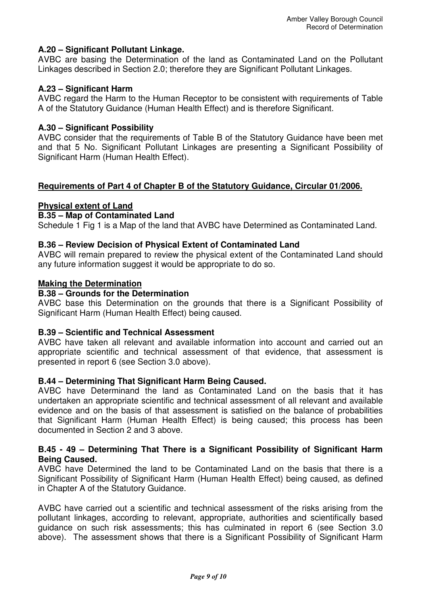## **A.20 – Significant Pollutant Linkage.**

AVBC are basing the Determination of the land as Contaminated Land on the Pollutant Linkages described in Section 2.0; therefore they are Significant Pollutant Linkages.

### **A.23 – Significant Harm**

AVBC regard the Harm to the Human Receptor to be consistent with requirements of Table A of the Statutory Guidance (Human Health Effect) and is therefore Significant.

### **A.30 – Significant Possibility**

AVBC consider that the requirements of Table B of the Statutory Guidance have been met and that 5 No. Significant Pollutant Linkages are presenting a Significant Possibility of Significant Harm (Human Health Effect).

### **Requirements of Part 4 of Chapter B of the Statutory Guidance, Circular 01/2006.**

### **Physical extent of Land**

### **B.35 – Map of Contaminated Land**

Schedule 1 Fig 1 is a Map of the land that AVBC have Determined as Contaminated Land.

### **B.36 – Review Decision of Physical Extent of Contaminated Land**

AVBC will remain prepared to review the physical extent of the Contaminated Land should any future information suggest it would be appropriate to do so.

### **Making the Determination**

### **B.38 – Grounds for the Determination**

AVBC base this Determination on the grounds that there is a Significant Possibility of Significant Harm (Human Health Effect) being caused.

#### **B.39 – Scientific and Technical Assessment**

AVBC have taken all relevant and available information into account and carried out an appropriate scientific and technical assessment of that evidence, that assessment is presented in report 6 (see Section 3.0 above).

#### **B.44 – Determining That Significant Harm Being Caused.**

AVBC have Determinand the land as Contaminated Land on the basis that it has undertaken an appropriate scientific and technical assessment of all relevant and available evidence and on the basis of that assessment is satisfied on the balance of probabilities that Significant Harm (Human Health Effect) is being caused; this process has been documented in Section 2 and 3 above.

### **B.45 - 49 – Determining That There is a Significant Possibility of Significant Harm Being Caused.**

AVBC have Determined the land to be Contaminated Land on the basis that there is a Significant Possibility of Significant Harm (Human Health Effect) being caused, as defined in Chapter A of the Statutory Guidance.

AVBC have carried out a scientific and technical assessment of the risks arising from the pollutant linkages, according to relevant, appropriate, authorities and scientifically based guidance on such risk assessments; this has culminated in report 6 (see Section 3.0 above). The assessment shows that there is a Significant Possibility of Significant Harm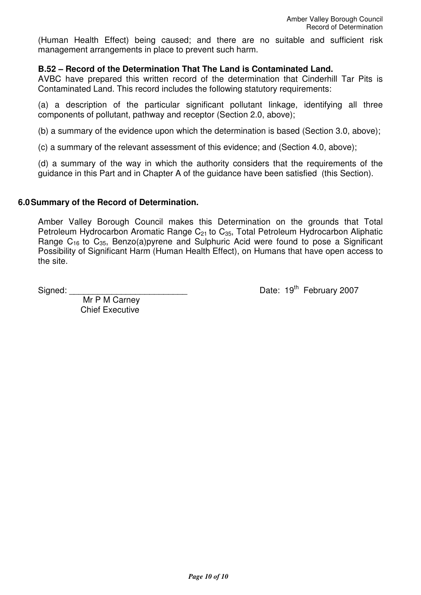(Human Health Effect) being caused; and there are no suitable and sufficient risk management arrangements in place to prevent such harm.

### **B.52 – Record of the Determination That The Land is Contaminated Land.**

AVBC have prepared this written record of the determination that Cinderhill Tar Pits is Contaminated Land. This record includes the following statutory requirements:

(a) a description of the particular significant pollutant linkage, identifying all three components of pollutant, pathway and receptor (Section 2.0, above);

(b) a summary of the evidence upon which the determination is based (Section 3.0, above);

(c) a summary of the relevant assessment of this evidence; and (Section 4.0, above);

(d) a summary of the way in which the authority considers that the requirements of the guidance in this Part and in Chapter A of the guidance have been satisfied (this Section).

#### **6.0 Summary of the Record of Determination.**

Amber Valley Borough Council makes this Determination on the grounds that Total Petroleum Hydrocarbon Aromatic Range  $C_{21}$  to  $C_{35}$ , Total Petroleum Hydrocarbon Aliphatic Range  $C_{16}$  to  $C_{35}$ , Benzo(a)pyrene and Sulphuric Acid were found to pose a Significant Possibility of Significant Harm (Human Health Effect), on Humans that have open access to the site.

Signed:  $\frac{1}{3}$  Signed:  $\frac{1}{3}$  Date: 19<sup>th</sup> February 2007

 Mr P M Carney Chief Executive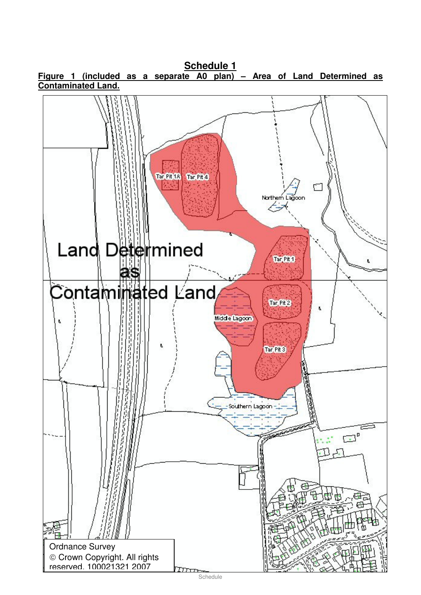